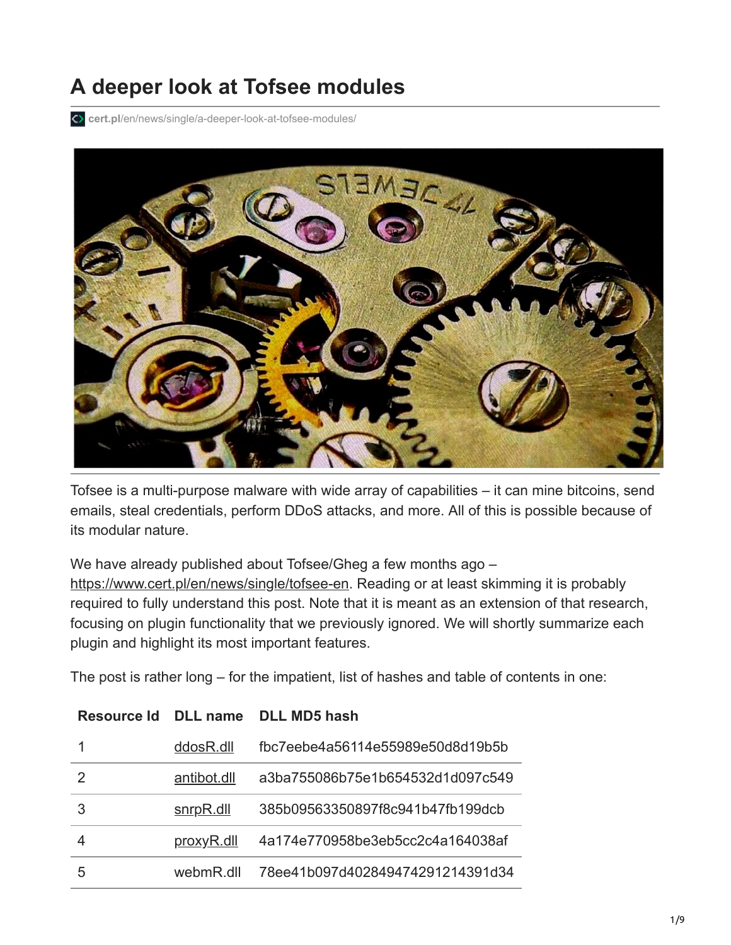# **A deeper look at Tofsee modules**

**cert.pl**[/en/news/single/a-deeper-look-at-tofsee-modules/](https://www.cert.pl/en/news/single/a-deeper-look-at-tofsee-modules/)



Tofsee is a multi-purpose malware with wide array of capabilities – it can mine bitcoins, send emails, steal credentials, perform DDoS attacks, and more. All of this is possible because of its modular nature.

We have already published about Tofsee/Gheg a few months ago –

<https://www.cert.pl/en/news/single/tofsee-en>. Reading or at least skimming it is probably required to fully understand this post. Note that it is meant as an extension of that research, focusing on plugin functionality that we previously ignored. We will shortly summarize each plugin and highlight its most important features.

The post is rather long – for the impatient, list of hashes and table of contents in one:

| Resource Id |             | DLL name DLL MD5 hash            |
|-------------|-------------|----------------------------------|
|             | ddosR.dll   | fbc7eebe4a56114e55989e50d8d19b5b |
| 2           | antibot.dll | a3ba755086b75e1b654532d1d097c549 |
| 3           | snrpR.dll   | 385b09563350897f8c941b47fb199dcb |
|             | proxyR.dll  | 4a174e770958be3eb5cc2c4a164038af |
| 5           | webmR.dll   | 78ee41b097d402849474291214391d34 |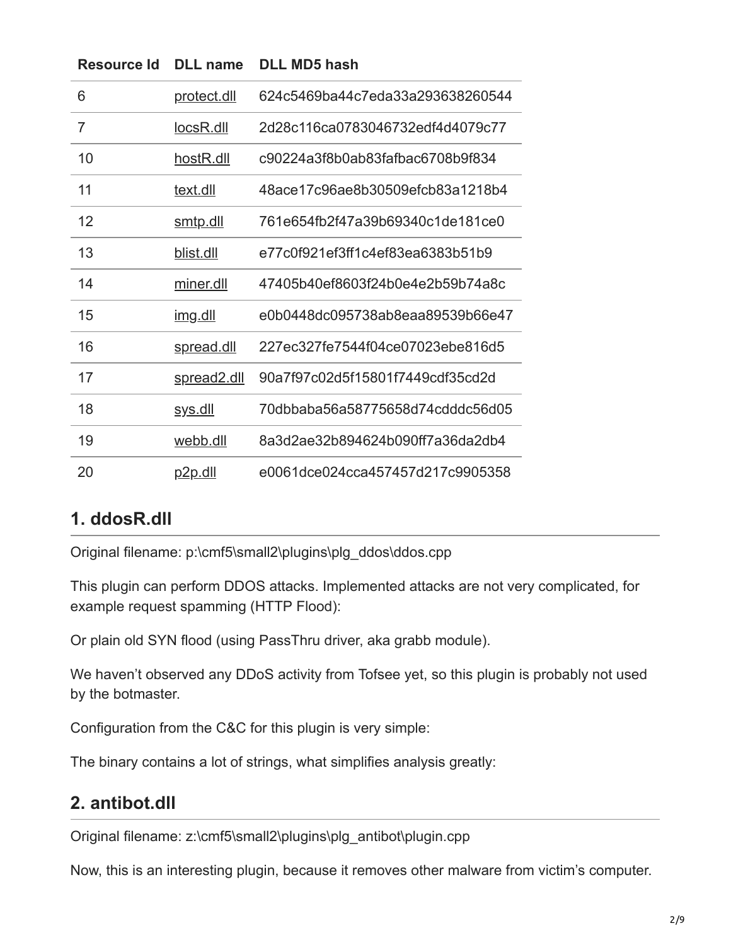| 6              | <u>protect.dll</u> | 624c5469ba44c7eda33a293638260544 |
|----------------|--------------------|----------------------------------|
| $\overline{7}$ | locsR.dll          | 2d28c116ca0783046732edf4d4079c77 |
| 10             | hostR.dll          | c90224a3f8b0ab83fafbac6708b9f834 |
| 11             | text.dll           | 48ace17c96ae8b30509efcb83a1218b4 |
| 12             | <u>smtp.dll</u>    | 761e654fb2f47a39b69340c1de181ce0 |
| 13             | blist.dll          | e77c0f921ef3ff1c4ef83ea6383b51b9 |
| 14             | miner.dll          | 47405b40ef8603f24b0e4e2b59b74a8c |
| 15             | <u>img.dll</u>     | e0b0448dc095738ab8eaa89539b66e47 |
| 16             | spread.dll         | 227ec327fe7544f04ce07023ebe816d5 |
| 17             | spread2.dll        | 90a7f97c02d5f15801f7449cdf35cd2d |
| 18             | <u>sys.dll</u>     | 70dbbaba56a58775658d74cdddc56d05 |
| 19             | webb.dll           | 8a3d2ae32b894624b090ff7a36da2db4 |
| 20             | <u>p2p.dll</u>     | e0061dce024cca457457d217c9905358 |

# **Resource Id DLL name DLL MD5 hash**

#### **1. ddosR.dll**

Original filename: p:\cmf5\small2\plugins\plg\_ddos\ddos.cpp

This plugin can perform DDOS attacks. Implemented attacks are not very complicated, for example request spamming (HTTP Flood):

Or plain old SYN flood (using PassThru driver, aka grabb module).

We haven't observed any DDoS activity from Tofsee yet, so this plugin is probably not used by the botmaster.

Configuration from the C&C for this plugin is very simple:

The binary contains a lot of strings, what simplifies analysis greatly:

## **2. antibot.dll**

Original filename: z:\cmf5\small2\plugins\plg\_antibot\plugin.cpp

Now, this is an interesting plugin, because it removes other malware from victim's computer.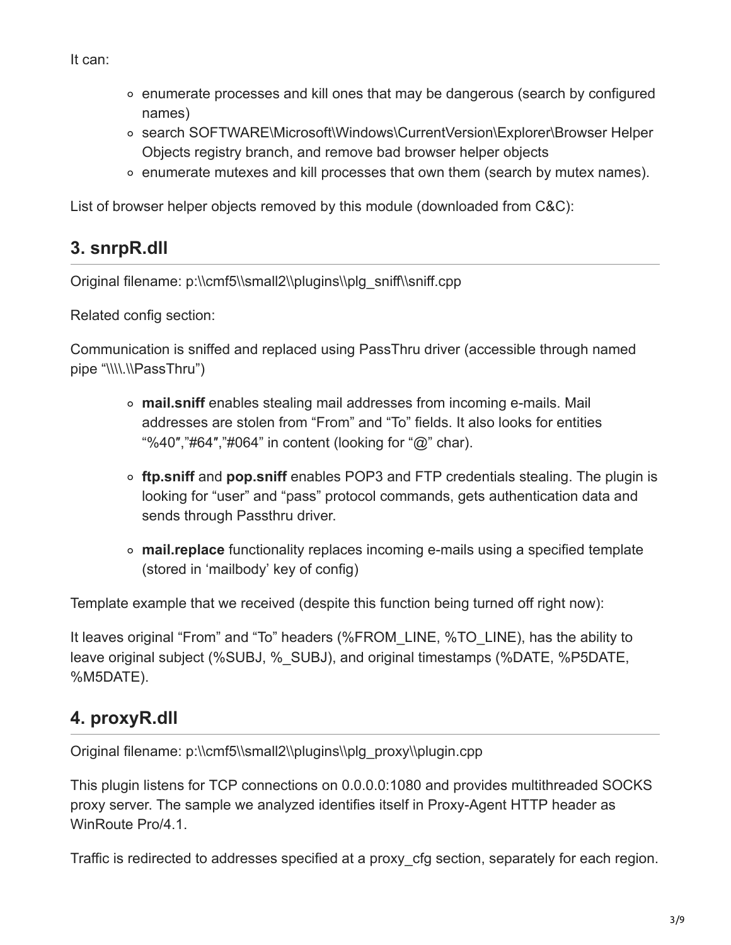It can:

- $\circ$  enumerate processes and kill ones that may be dangerous (search by configured names)
- search SOFTWARE\Microsoft\Windows\CurrentVersion\Explorer\Browser Helper Objects registry branch, and remove bad browser helper objects
- $\circ$  enumerate mutexes and kill processes that own them (search by mutex names).

List of browser helper objects removed by this module (downloaded from C&C):

# **3. snrpR.dll**

Original filename: p:\\cmf5\\small2\\plugins\\plg\_sniff\\sniff.cpp

Related config section:

Communication is sniffed and replaced using PassThru driver (accessible through named pipe "\\\\.\\PassThru")

- **mail.sniff** enables stealing mail addresses from incoming e-mails. Mail addresses are stolen from "From" and "To" fields. It also looks for entities "%40″,"#64″,"#064" in content (looking for "@" char).
- **ftp.sniff** and **pop.sniff** enables POP3 and FTP credentials stealing. The plugin is looking for "user" and "pass" protocol commands, gets authentication data and sends through Passthru driver.
- **mail.replace** functionality replaces incoming e-mails using a specified template (stored in 'mailbody' key of config)

Template example that we received (despite this function being turned off right now):

It leaves original "From" and "To" headers (%FROM\_LINE, %TO\_LINE), has the ability to leave original subject (%SUBJ, %\_SUBJ), and original timestamps (%DATE, %P5DATE, %M5DATE).

# **4. proxyR.dll**

Original filename: p:\\cmf5\\small2\\plugins\\plg\_proxy\\plugin.cpp

This plugin listens for TCP connections on 0.0.0.0:1080 and provides multithreaded SOCKS proxy server. The sample we analyzed identifies itself in Proxy-Agent HTTP header as WinRoute Pro/4.1.

Traffic is redirected to addresses specified at a proxy\_cfg section, separately for each region.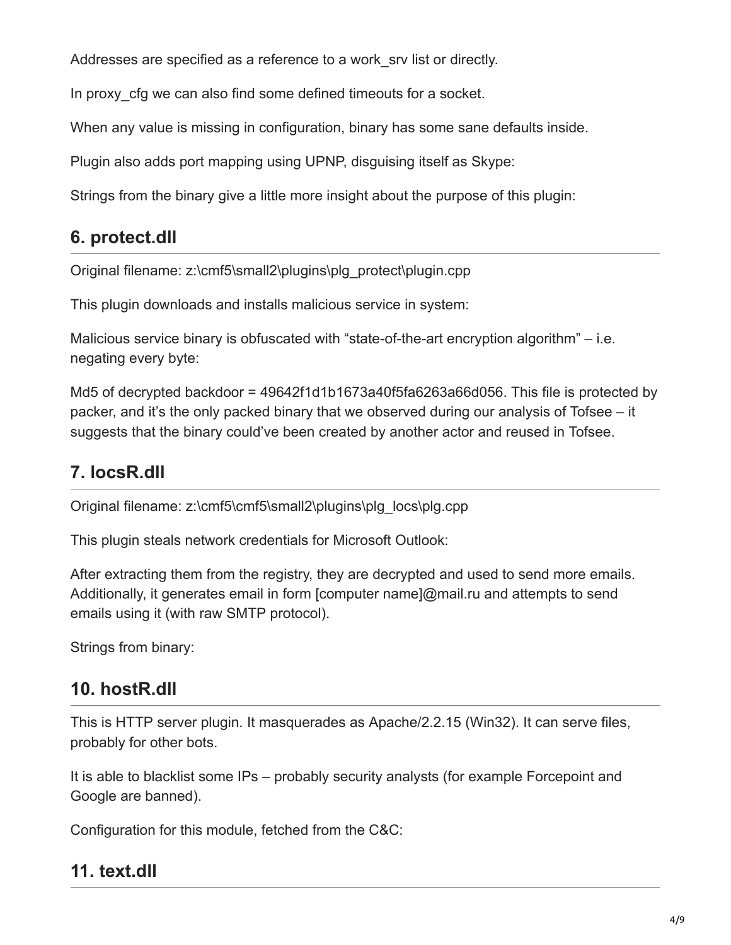Addresses are specified as a reference to a work\_srv list or directly.

In proxy cfg we can also find some defined timeouts for a socket.

When any value is missing in configuration, binary has some sane defaults inside.

Plugin also adds port mapping using UPNP, disguising itself as Skype:

Strings from the binary give a little more insight about the purpose of this plugin:

# **6. protect.dll**

Original filename: z:\cmf5\small2\plugins\plg\_protect\plugin.cpp

This plugin downloads and installs malicious service in system:

Malicious service binary is obfuscated with "state-of-the-art encryption algorithm" – i.e. negating every byte:

Md5 of decrypted backdoor = 49642f1d1b1673a40f5fa6263a66d056. This file is protected by packer, and it's the only packed binary that we observed during our analysis of Tofsee – it suggests that the binary could've been created by another actor and reused in Tofsee.

# **7. locsR.dll**

Original filename: z:\cmf5\cmf5\small2\plugins\plg\_locs\plg.cpp

This plugin steals network credentials for Microsoft Outlook:

After extracting them from the registry, they are decrypted and used to send more emails. Additionally, it generates email in form [computer name]@mail.ru and attempts to send emails using it (with raw SMTP protocol).

Strings from binary:

# **10. hostR.dll**

This is HTTP server plugin. It masquerades as Apache/2.2.15 (Win32). It can serve files, probably for other bots.

It is able to blacklist some IPs – probably security analysts (for example Forcepoint and Google are banned).

Configuration for this module, fetched from the C&C:

## **11. text.dll**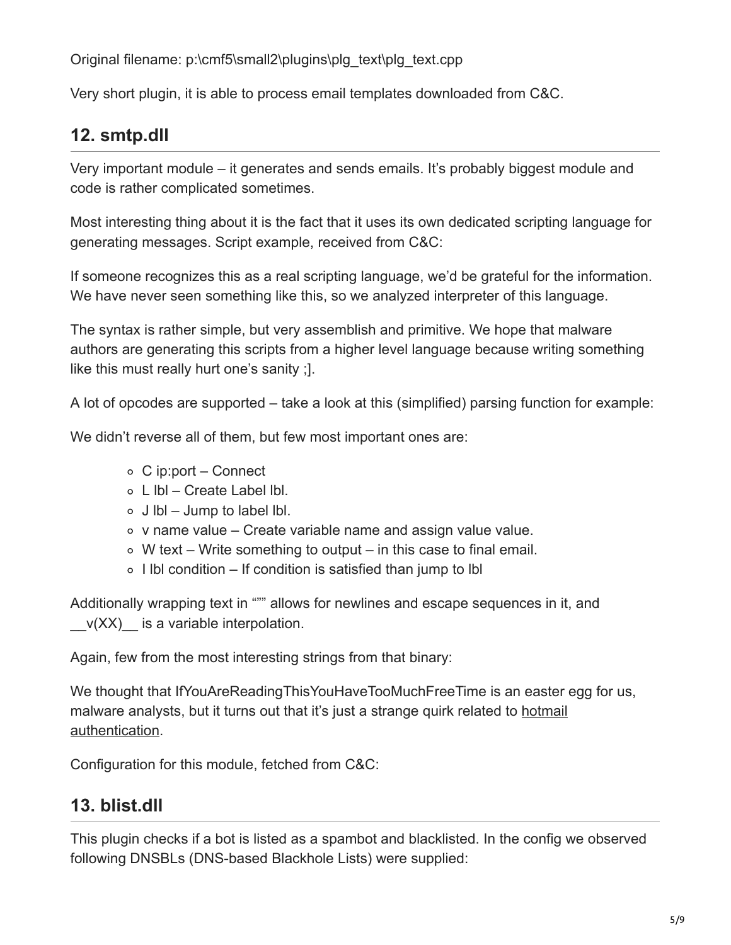Original filename: p:\cmf5\small2\plugins\plg\_text\plg\_text.cpp

Very short plugin, it is able to process email templates downloaded from C&C.

## **12. smtp.dll**

Very important module – it generates and sends emails. It's probably biggest module and code is rather complicated sometimes.

Most interesting thing about it is the fact that it uses its own dedicated scripting language for generating messages. Script example, received from C&C:

If someone recognizes this as a real scripting language, we'd be grateful for the information. We have never seen something like this, so we analyzed interpreter of this language.

The syntax is rather simple, but very assemblish and primitive. We hope that malware authors are generating this scripts from a higher level language because writing something like this must really hurt one's sanity ;].

A lot of opcodes are supported – take a look at this (simplified) parsing function for example:

We didn't reverse all of them, but few most important ones are:

- C ip:port Connect
- $\circ$  L Ibl Create Label Ibl.
- $\circ$  J lbl Jump to label lbl.
- $\circ$  v name value Create variable name and assign value value.
- $\circ$  W text Write something to output in this case to final email.
- $\circ$  I lbl condition If condition is satisfied than jump to Ibl

Additionally wrapping text in """ allows for newlines and escape sequences in it, and  $v(XX)$  is a variable interpolation.

Again, few from the most interesting strings from that binary:

We thought that IfYouAreReadingThisYouHaveTooMuchFreeTime is an easter egg for us, [malware analysts, but it turns out that it's just a strange quirk related to hotmail](https://blogs.msdn.microsoft.com/perfdude/2008/07/06/ifyouarereadingthisyouhavetoomuchfreetime/) authentication.

Configuration for this module, fetched from C&C:

# **13. blist.dll**

This plugin checks if a bot is listed as a spambot and blacklisted. In the config we observed following DNSBLs (DNS-based Blackhole Lists) were supplied: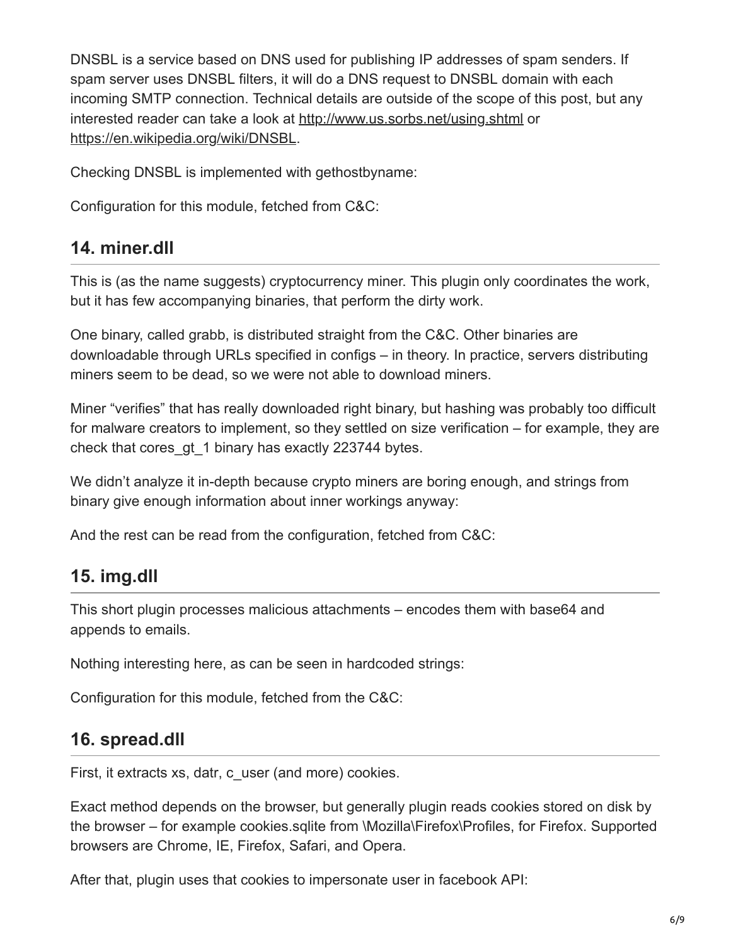DNSBL is a service based on DNS used for publishing IP addresses of spam senders. If spam server uses DNSBL filters, it will do a DNS request to DNSBL domain with each incoming SMTP connection. Technical details are outside of the scope of this post, but any interested reader can take a look at<http://www.us.sorbs.net/using.shtml>or <https://en.wikipedia.org/wiki/DNSBL>.

Checking DNSBL is implemented with gethostbyname:

Configuration for this module, fetched from C&C:

#### **14. miner.dll**

This is (as the name suggests) cryptocurrency miner. This plugin only coordinates the work, but it has few accompanying binaries, that perform the dirty work.

One binary, called grabb, is distributed straight from the C&C. Other binaries are downloadable through URLs specified in configs – in theory. In practice, servers distributing miners seem to be dead, so we were not able to download miners.

Miner "verifies" that has really downloaded right binary, but hashing was probably too difficult for malware creators to implement, so they settled on size verification – for example, they are check that cores\_gt\_1 binary has exactly 223744 bytes.

We didn't analyze it in-depth because crypto miners are boring enough, and strings from binary give enough information about inner workings anyway:

And the rest can be read from the configuration, fetched from C&C:

## **15. img.dll**

This short plugin processes malicious attachments – encodes them with base64 and appends to emails.

Nothing interesting here, as can be seen in hardcoded strings:

Configuration for this module, fetched from the C&C:

#### **16. spread.dll**

First, it extracts xs, datr, c\_user (and more) cookies.

Exact method depends on the browser, but generally plugin reads cookies stored on disk by the browser – for example cookies.sqlite from \Mozilla\Firefox\Profiles, for Firefox. Supported browsers are Chrome, IE, Firefox, Safari, and Opera.

After that, plugin uses that cookies to impersonate user in facebook API: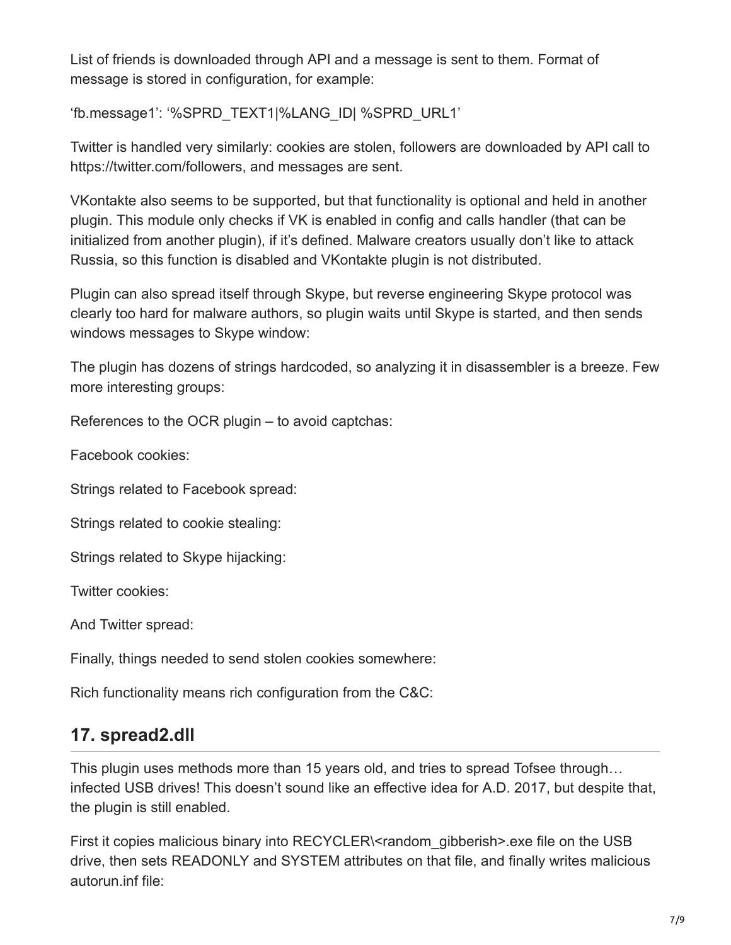List of friends is downloaded through API and a message is sent to them. Format of message is stored in configuration, for example:

'fb.message1': '%SPRD\_TEXT1|%LANG\_ID| %SPRD\_URL1'

Twitter is handled very similarly: cookies are stolen, followers are downloaded by API call to https://twitter.com/followers, and messages are sent.

VKontakte also seems to be supported, but that functionality is optional and held in another plugin. This module only checks if VK is enabled in config and calls handler (that can be initialized from another plugin), if it's defined. Malware creators usually don't like to attack Russia, so this function is disabled and VKontakte plugin is not distributed.

Plugin can also spread itself through Skype, but reverse engineering Skype protocol was clearly too hard for malware authors, so plugin waits until Skype is started, and then sends windows messages to Skype window:

The plugin has dozens of strings hardcoded, so analyzing it in disassembler is a breeze. Few more interesting groups:

References to the OCR plugin – to avoid captchas:

Facebook cookies:

Strings related to Facebook spread:

Strings related to cookie stealing:

Strings related to Skype hijacking:

Twitter cookies:

And Twitter spread:

Finally, things needed to send stolen cookies somewhere:

Rich functionality means rich configuration from the C&C:

#### **17. spread2.dll**

This plugin uses methods more than 15 years old, and tries to spread Tofsee through… infected USB drives! This doesn't sound like an effective idea for A.D. 2017, but despite that, the plugin is still enabled.

First it copies malicious binary into RECYCLER\<random qibberish>.exe file on the USB drive, then sets READONLY and SYSTEM attributes on that file, and finally writes malicious autorun.inf file: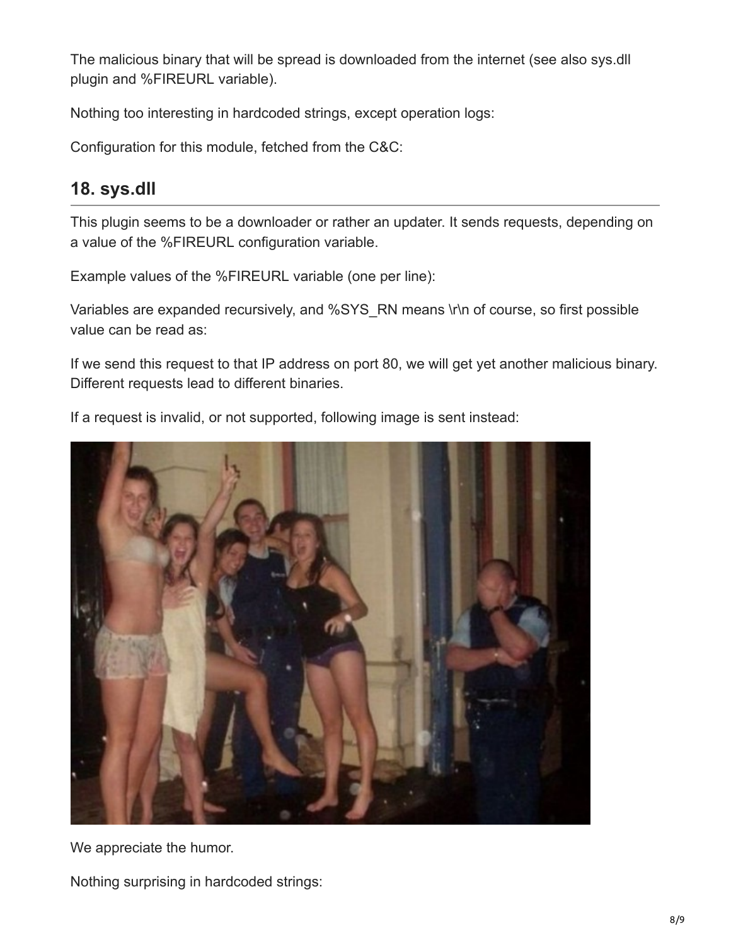The malicious binary that will be spread is downloaded from the internet (see also sys.dll plugin and %FIREURL variable).

Nothing too interesting in hardcoded strings, except operation logs:

Configuration for this module, fetched from the C&C:

#### **18. sys.dll**

This plugin seems to be a downloader or rather an updater. It sends requests, depending on a value of the %FIREURL configuration variable.

Example values of the %FIREURL variable (one per line):

Variables are expanded recursively, and %SYS\_RN means \r\n of course, so first possible value can be read as:

If we send this request to that IP address on port 80, we will get yet another malicious binary. Different requests lead to different binaries.

If a request is invalid, or not supported, following image is sent instead:



We appreciate the humor.

Nothing surprising in hardcoded strings: